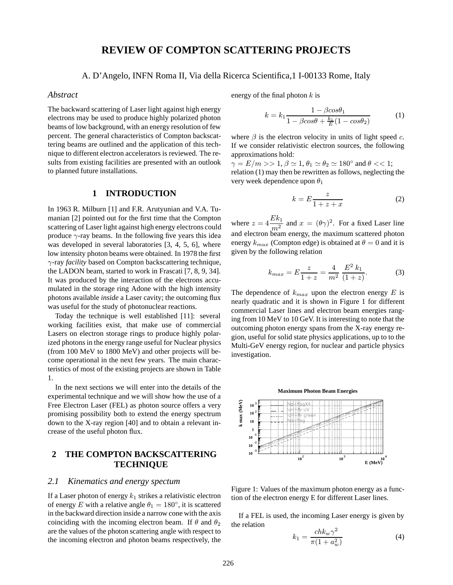# **REVIEW OF COMPTON SCATTERING PROJECTS**

# A. D'Angelo, INFN Roma II, Via della Ricerca Scientifica,1 I-00133 Rome, Italy

### *Abstract*

The backward scattering of Laser light against high energy electrons may be used to produce highly polarized photon beams of low background, with an energy resolution of few percent. The general characteristics of Compton backscattering beams are outlined and the application of this technique to different electron accelerators is reviewed. The results from existing facilities are presented with an outlook to planned future installations.

#### **1 INTRODUCTION**

In 1963 R. Milburn [1] and F.R. Arutyunian and V.A. Tumanian [2] pointed out for the first time that the Compton scattering of Laser light against high energy electrons could produce  $\gamma$ -ray beams. In the following five years this idea was developed in several laboratories [3, 4, 5, 6], where low intensity photon beams were obtained. In 1978 the first γ-ray *facility* based on Compton backscattering technique, the LADON beam, started to work in Frascati [7, 8, 9, 34]. It was produced by the interaction of the electrons accumulated in the storage ring Adone with the high intensity photons available *inside* a Laser cavity; the outcoming flux was useful for the study of photonuclear reactions.

Today the technique is well established [11]: several working facilities exist, that make use of commercial Lasers on electron storage rings to produce highly polarized photons in the energy range useful for Nuclear physics (from 100 MeV to 1800 MeV) and other projects will become operational in the next few years. The main characteristics of most of the existing projects are shown in Table 1.

In the next sections we will enter into the details of the experimental technique and we will show how the use of a Free Electron Laser (FEL) as photon source offers a very promising possibility both to extend the energy spectrum down to the X-ray region [40] and to obtain a relevant increase of the useful photon flux.

# **2 THE COMPTON BACKSCATTERING TECHNIQUE**

# *2.1 Kinematics and energy spectum*

If a Laser photon of energy  $k_1$  strikes a relativistic electron of energy E with a relative angle  $\theta_1 = 180^\circ$ , it is scattered in the backward direction inside a narrow cone with the axis coinciding with the incoming electron beam. If  $\theta$  and  $\theta_2$ are the values of the photon scattering angle with respect to the incoming electron and photon beams respectively, the

energy of the final photon  $k$  is

$$
k = k_1 \frac{1 - \beta cos \theta_1}{1 - \beta cos \theta + \frac{k_1}{E} (1 - cos \theta_2)}
$$
(1)

where  $\beta$  is the electron velocity in units of light speed c. If we consider relativistic electron sources, the following approximations hold:

 $\gamma = E/m >> 1, \beta \simeq 1, \theta_1 \simeq \theta_2 \simeq 180^\circ$  and  $\theta << 1$ ; relation (1) may then be rewritten as follows, neglecting the very week dependence upon  $\theta_1$ 

$$
k = E \frac{z}{1 + z + x} \tag{2}
$$

where  $z = 4 \frac{Ek_1}{m^2}$  and  $x = (\theta \gamma)^2$ . For a fixed Laser line and electron beam energy, the maximum scattered photon energy  $k_{max}$  (Compton edge) is obtained at  $\theta = 0$  and it is given by the following relation

$$
k_{max} = E \frac{z}{1+z} = \frac{4}{m^2} \frac{E^2 k_1}{(1+z)}.
$$
 (3)

The dependence of  $k_{max}$  upon the electron energy  $E$  is nearly quadratic and it is shown in Figure 1 for different commercial Laser lines and electron beam energies ranging from 10 MeV to 10 GeV. It is interesting to note that the outcoming photon energy spans from the X-ray energy region, useful for solid state physics applications, up to to the Multi-GeV energy region, for nuclear and particle physics investigation.



Figure 1: Values of the maximum photon energy as a function of the electron energy E for different Laser lines.

If a FEL is used, the incoming Laser energy is given by the relation

$$
k_1 = \frac{ch k_w \gamma^2}{\pi (1 + a_w^2)}\tag{4}
$$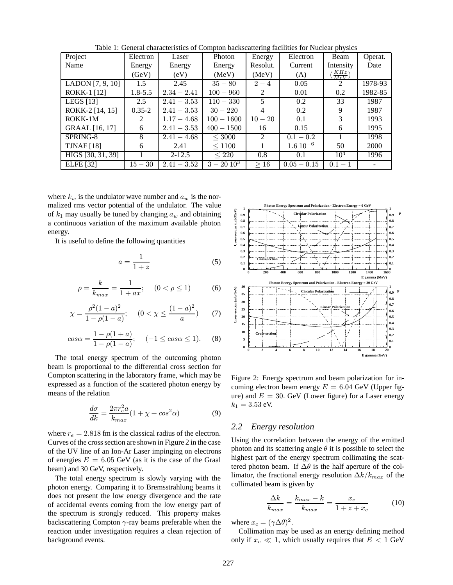| Project            | Electron      | Laser         | Photon       | Energy         | Electron       | Beam              | Operat. |
|--------------------|---------------|---------------|--------------|----------------|----------------|-------------------|---------|
| Name               | Energy        | Energy        | Energy       | Resolut.       | Current        | Intensity         | Date    |
|                    | (GeV)         | (eV)          | (MeV)        | (MeV)          | (A)            | $\frac{KHz}{MeV}$ |         |
| LADON $[7, 9, 10]$ | 1.5           | 2.45          | $35 - 80$    | $2 - 4$        | 0.05           | $\mathcal{L}$     | 1978-93 |
| <b>ROKK-1 [12]</b> | $1.8 - 5.5$   | $2.34 - 2.41$ | $100 - 960$  | 2              | 0.01           | 0.2               | 1982-85 |
| LEGS $[13]$        | $2.5^{\circ}$ | $2.41 - 3.53$ | $110 - 330$  | 5              | 0.2            | 33                | 1987    |
| ROKK-2 [14, 15]    | $0.35 - 2$    | $2.41 - 3.53$ | $30 - 220$   | 4              | 0.2            | 9                 | 1987    |
| ROKK-1M            | $\mathcal{L}$ | $1.17 - 4.68$ | $100 - 1600$ | $10 - 20$      | 0.1            | 3                 | 1993    |
| GRAAL [16, 17]     | 6             | $2.41 - 3.53$ | $400 - 1500$ | 16             | 0.15           | 6                 | 1995    |
| SPRING-8           | 8             | $2.41 - 4.68$ | $<$ 3000     | $\mathfrak{D}$ | $0.1 - 0.2$    |                   | 1998    |
| <b>TJNAF</b> [18]  | 6             | 2.41          | < 1100       |                | $1.6\,10^{-6}$ | 50                | 2000    |
| HIGS [30, 31, 39]  |               | $2 - 12.5$    | $\leq 220$   | 0.8            | 0.1            | $10^4$            | 1996    |
| <b>ELFE</b> [32]   | $15 - 30$     | $2.41 - 3.52$ | $3-20\;10^3$ | >16            | $0.05 - 0.15$  | $0.1 - 1$         |         |

Table 1: General characteristics of Compton backscattering facilities for Nuclear physics

where  $k_w$  is the undulator wave number and  $a_w$  is the normalized rms vector potential of the undulator. The value of  $k_1$  may usually be tuned by changing  $a_w$  and obtaining a continuous variation of the maximum available photon energy.

It is useful to define the following quantities

$$
a = \frac{1}{1+z} \tag{5}
$$

$$
\rho = \frac{k}{k_{max}} = \frac{1}{1 + ax}; \quad (0 < \rho \le 1) \tag{6}
$$

$$
\chi = \frac{\rho^2 (1 - a)^2}{1 - \rho (1 - a)}; \quad (0 < \chi \le \frac{(1 - a)^2}{a}) \tag{7}
$$

$$
cos\alpha = \frac{1 - \rho(1 + a)}{1 - \rho(1 - a)}; \quad (-1 \le cos\alpha \le 1). \quad (8)
$$

The total energy spectrum of the outcoming photon beam is proportional to the differential cross section for Compton scattering in the laboratory frame, which may be expressed as a function of the scattered photon energy by means of the relation

$$
\frac{d\sigma}{dk} = \frac{2\pi r_e^2 a}{k_{max}} (1 + \chi + \cos^2 \alpha) \tag{9}
$$

where  $r_e = 2.818$  fm is the classical radius of the electron. Curves of the cross section are shown in Figure 2 in the case of the UV line of an Ion-Ar Laser impinging on electrons of energies  $E = 6.05$  GeV (as it is the case of the Graal beam) and 30 GeV, respectively.

The total energy spectrum is slowly varying with the photon energy. Comparing it to Bremsstrahlung beams it does not present the low energy divergence and the rate of accidental events coming from the low energy part of the spectrum is strongly reduced. This property makes backscattering Compton  $\gamma$ -ray beams preferable when the reaction under investigation requires a clean rejection of background events.



Figure 2: Energy spectrum and beam polarization for incoming electron beam energy  $E = 6.04$  GeV (Upper figure) and  $E = 30$ . GeV (Lower figure) for a Laser energy  $k_1 = 3.53$  eV.

# *2.2 Energy resolution*

Using the correlation between the energy of the emitted photon and its scattering angle  $\theta$  it is possible to select the highest part of the energy spectrum collimating the scattered photon beam. If  $\Delta\theta$  is the half aperture of the collimator, the fractional energy resolution  $\Delta k/k_{max}$  of the collimated beam is given by

$$
\frac{\Delta k}{k_{max}} = \frac{k_{max} - k}{k_{max}} = \frac{x_c}{1 + z + x_c}
$$
(10)

where  $x_c = (\gamma \Delta \theta)^2$ .

Collimation may be used as an energy defining method only if  $x_c \ll 1$ , which usually requires that  $E < 1$  GeV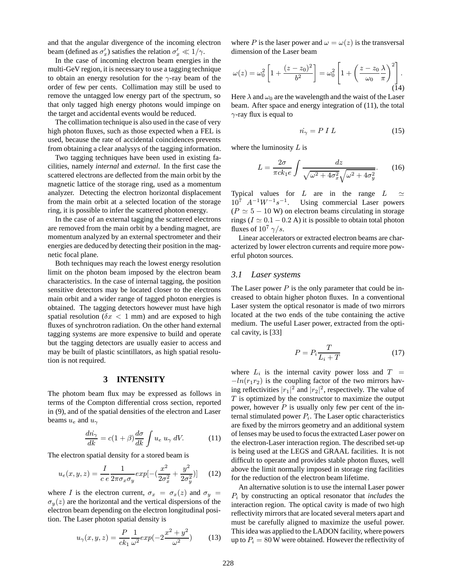and that the angular divergence of the incoming electron beam (defined as  $\sigma'_x$ ) satisfies the relation  $\sigma'_x \ll 1/\gamma$ .

In the case of incoming electron beam energies in the multi-GeV region, it is necessary to use a tagging technique to obtain an energy resolution for the  $\gamma$ -ray beam of the order of few per cents. Collimation may still be used to remove the untagged low energy part of the spectrum, so that only tagged high energy photons would impinge on the target and accidental events would be reduced.

The collimation technique is also used in the case of very high photon fluxes, such as those expected when a FEL is used, because the rate of accidental coincidences prevents from obtaining a clear analysys of the tagging information.

Two tagging techniques have been used in existing facilities, namely *internal* and *external*. In the first case the scattered electrons are deflected from the main orbit by the magnetic lattice of the storage ring, used as a momentum analyzer. Detecting the electron horizontal displacement from the main orbit at a selected location of the storage ring, it is possible to infer the scattered photon energy.

In the case of an external tagging the scattered electrons are removed from the main orbit by a bending magnet, are momentum analyzed by an external spectrometer and their energies are deduced by detecting their position in the magnetic focal plane.

Both techniques may reach the lowest energy resolution limit on the photon beam imposed by the electron beam characteristics. In the case of internal tagging, the position sensitive detectors may be located closer to the electrons main orbit and a wider range of tagged photon energies is obtained. The tagging detectors however must have high spatial resolution ( $\delta x < 1$  mm) and are exposed to high fluxes of synchrotron radiation. On the other hand external tagging systems are more expensive to build and operate but the tagging detectors are usually easier to access and may be built of plastic scintillators, as high spatial resolution is not required.

#### **3 INTENSITY**

The photom beam flux may be expressed as follows in terms of the Compton differential cross section, reported in (9), and of the spatial densities of the electron and Laser beams  $u_e$  and  $u_\gamma$ 

$$
\frac{d\dot{n}_{\gamma}}{dk} = c(1+\beta)\frac{d\sigma}{dk}\int u_e u_{\gamma} dV. \tag{11}
$$

The electron spatial density for a stored beam is

$$
u_e(x, y, z) = \frac{I}{c \, e} \frac{1}{2\pi\sigma_x \sigma_y} exp[-(\frac{x^2}{2\sigma_x^2} + \frac{y^2}{2\sigma_y^2})] \tag{12}
$$

where I is the electron current,  $\sigma_x = \sigma_x(z)$  and  $\sigma_y =$  $\sigma_y(z)$  are the horizontal and the vertical dispersions of the electron beam depending on the electron longitudinal position. The Laser photon spatial density is

$$
u_{\gamma}(x, y, z) = \frac{P}{ck_1} \frac{1}{\omega^2} exp(-2\frac{x^2 + y^2}{\omega^2})
$$
 (13)

where P is the laser power and  $\omega = \omega(z)$  is the transversal dimension of the Laser beam

$$
\omega(z) = \omega_0^2 \left[ 1 + \frac{(z - z_0)^2}{b^2} \right] = \omega_0^2 \left[ 1 + \left( \frac{z - z_0}{\omega_0} \frac{\lambda}{\pi} \right)^2 \right].
$$
\n(14)

Here  $\lambda$  and  $\omega_0$  are the wavelength and the waist of the Laser beam. After space and energy integration of (11), the total  $\gamma$ -ray flux is equal to

$$
\dot{n_{\gamma}} = P \; I \; L \tag{15}
$$

where the luminosity  $L$  is

$$
L = \frac{2\sigma}{\pi c k_1 e} \int \frac{dz}{\sqrt{\omega^2 + 4\sigma_x^2} \sqrt{\omega^2 + 4\sigma_y^2}}.
$$
 (16)

Typical values for L are in the range  $L \simeq$  $10^7$   $A^{-1}W^{-1}s^{-1}$ . Using commercial Laser powers  $(P \simeq 5 - 10 \text{ W})$  on electron beams circulating in storage rings ( $I \approx 0.1 - 0.2$  A) it is possible to obtain total photon fluxes of  $10^7 \gamma/s$ .

Linear accelerators or extracted electron beams are characterized by lower electron currents and require more powerful photon sources.

#### *3.1 Laser systems*

The Laser power  $P$  is the only parameter that could be increased to obtain higher photon fluxes. In a conventional Laser system the optical resonator is made of two mirrors located at the two ends of the tube containing the active medium. The useful Laser power, extracted from the optical cavity, is [33]

$$
P = P_i \frac{T}{L_i + T} \tag{17}
$$

where  $L_i$  is the internal cavity power loss and  $T =$  $-\ln(r_1r_2)$  is the coupling factor of the two mirrors having reflectivities  $|r_1|^2$  and  $|r_2|^2$ , respectively. The value of  $T$  is optimized by the constructor to maximize the output power, however  $P$  is usually only few per cent of the internal stimulated power  $P_i$ . The Laser optic characteristics are fixed by the mirrors geometry and an additional system of lenses may be used to focus the extracted Laser power on the electron-Laser interaction region. The described set-up is being used at the LEGS and GRAAL facilities. It is not difficult to operate and provides stable photon fluxes, well above the limit normally imposed in storage ring facilities for the reduction of the electron beam lifetime.

An alternative solution is to use the internal Laser power P<sup>i</sup> by constructing an optical resonator that *includes* the interaction region. The optical cavity is made of two high reflectivity mirrors that are located several meters apart and must be carefully aligned to maximize the useful power. This idea was applied to the LADON facility, where powers up to  $P_i = 80$  W were obtained. However the reflectivity of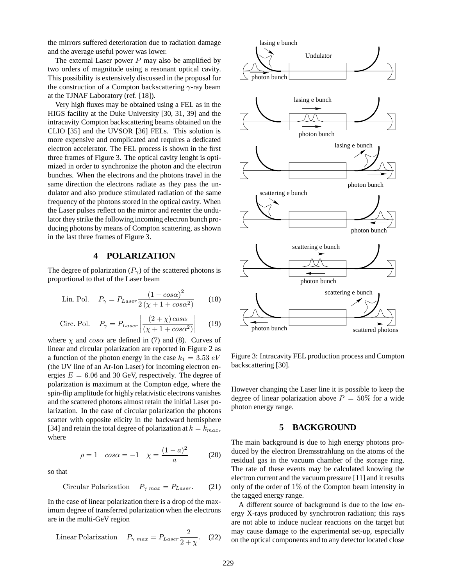the mirrors suffered deterioration due to radiation damage and the average useful power was lower.

The external Laser power  $P$  may also be amplified by two orders of magnitude using a resonant optical cavity. This possibility is extensively discussed in the proposal for the construction of a Compton backscattering  $\gamma$ -ray beam at the TJNAF Laboratory (ref. [18]).

Very high fluxes may be obtained using a FEL as in the HIGS facility at the Duke University [30, 31, 39] and the intracavity Compton backscattering beams obtained on the CLIO [35] and the UVSOR [36] FELs. This solution is more expensive and complicated and requires a dedicated electron accelerator. The FEL process is shown in the first three frames of Figure 3. The optical cavity lenght is optimized in order to synchronize the photon and the electron bunches. When the electrons and the photons travel in the same direction the electrons radiate as they pass the undulator and also produce stimulated radiation of the same frequency of the photons stored in the optical cavity. When the Laser pulses reflect on the mirror and reenter the undulator they strike the following incoming electron bunch producing photons by means of Compton scattering, as shown in the last three frames of Figure 3.

# **4 POLARIZATION**

The degree of polarization  $(P_{\gamma})$  of the scattered photons is proportional to that of the Laser beam

Lin. Pol. 
$$
P_{\gamma} = P_{Laser} \frac{\left(1 - \cos \alpha\right)^2}{2\left(\chi + 1 + \cos \alpha^2\right)} \tag{18}
$$

Circ. Pol. 
$$
P_{\gamma} = P_{Laser} \left| \frac{(2+\chi)\cos\alpha}{(\chi+1+\cos\alpha^2)} \right|
$$
 (19)

where  $\chi$  and  $\cos \alpha$  are defined in (7) and (8). Curves of linear and circular polarization are reported in Figure 2 as a function of the photon energy in the case  $k_1 = 3.53 \text{ eV}$ (the UV line of an Ar-Ion Laser) for incoming electron energies  $E = 6.06$  and 30 GeV, respectively. The degree of polarization is maximum at the Compton edge, where the spin-flip amplitude for highly relativistic electrons vanishes and the scattered photons almost retain the initial Laser polarization. In the case of circular polarization the photons scatter with opposite elicity in the backward hemisphere [34] and retain the total degree of polarization at  $k = k_{max}$ , where

$$
\rho = 1 \quad \cos \alpha = -1 \quad \chi = \frac{(1-a)^2}{a} \tag{20}
$$

so that

$$
Circular Polarization \t P_{\gamma \text{ max}} = P_{Laser}. \t (21)
$$

In the case of linear polarization there is a drop of the maximum degree of transferred polarization when the electrons are in the multi-GeV region

Linear Polarization 
$$
P_{\gamma \text{ max}} = P_{Laser} \frac{2}{2 + \chi}
$$
. (22)



Figure 3: Intracavity FEL production process and Compton backscattering [30].

However changing the Laser line it is possible to keep the degree of linear polarization above  $P = 50\%$  for a wide photon energy range.

# **5 BACKGROUND**

The main background is due to high energy photons produced by the electron Bremsstrahlung on the atoms of the residual gas in the vacuum chamber of the storage ring. The rate of these events may be calculated knowing the electron current and the vacuum pressure [11] and it results only of the order of  $1\%$  of the Compton beam intensity in the tagged energy range.

A different source of background is due to the low energy X-rays produced by synchrotron radiation; this rays are not able to induce nuclear reactions on the target but may cause damage to the experimental set-up, especially on the optical components and to any detector located close